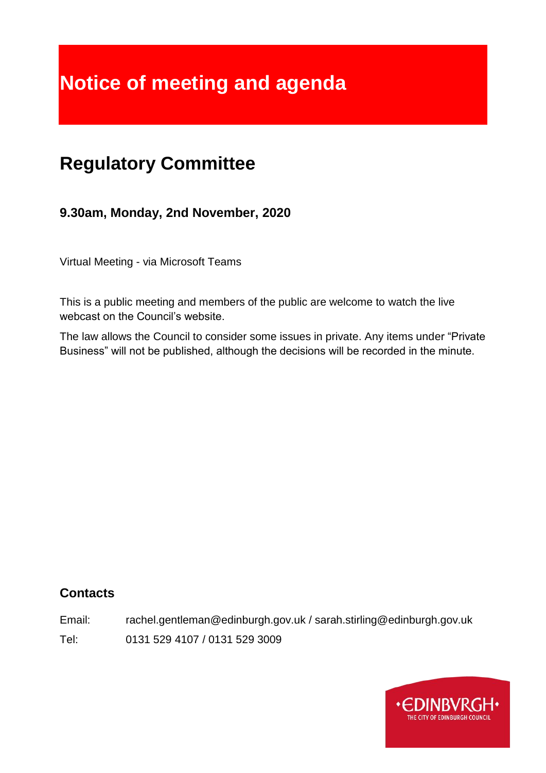# **Notice of meeting and agenda**

# **Regulatory Committee**

**9.30am, Monday, 2nd November, 2020**

Virtual Meeting - via Microsoft Teams

This is a public meeting and members of the public are welcome to watch the live webcast on the Council's website.

The law allows the Council to consider some issues in private. Any items under "Private Business" will not be published, although the decisions will be recorded in the minute.

# **Contacts**

Email: rachel.gentleman@edinburgh.gov.uk / sarah.stirling@edinburgh.gov.uk

Tel: 0131 529 4107 / 0131 529 3009

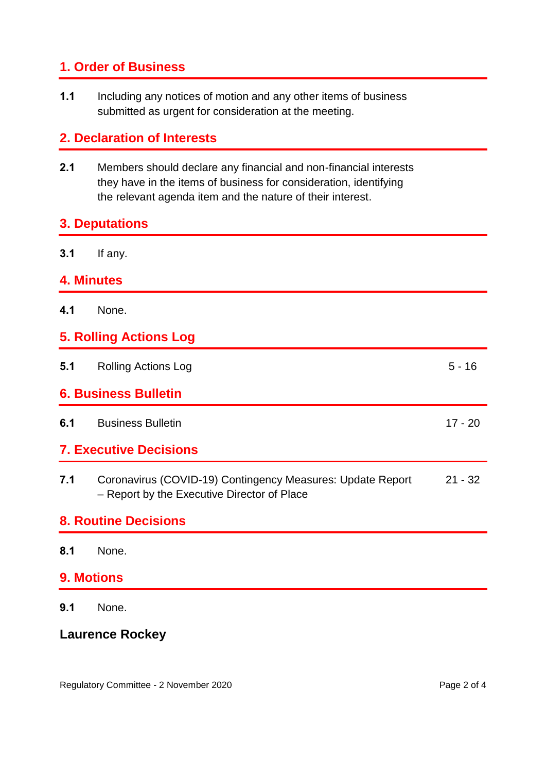# **1. Order of Business**

**1.1** Including any notices of motion and any other items of business submitted as urgent for consideration at the meeting.

# **2. Declaration of Interests**

**2.1** Members should declare any financial and non-financial interests they have in the items of business for consideration, identifying the relevant agenda item and the nature of their interest.

#### **3. Deputations**

**3.1** If any.

#### **4. Minutes**

**4.1** None.

#### **5. Rolling Actions Log**

| 5.1                           | <b>Rolling Actions Log</b> | $5 - 16$  |
|-------------------------------|----------------------------|-----------|
| <b>6. Business Bulletin</b>   |                            |           |
| 6.1                           | <b>Business Bulletin</b>   | $17 - 20$ |
| <b>7. Executive Decisions</b> |                            |           |
|                               |                            |           |

**7.1** Coronavirus (COVID-19) Contingency Measures: Update Report – Report by the Executive Director of Place 21 - 32

#### **8. Routine Decisions**

**8.1** None.

# **9. Motions**

**9.1** None.

# **Laurence Rockey**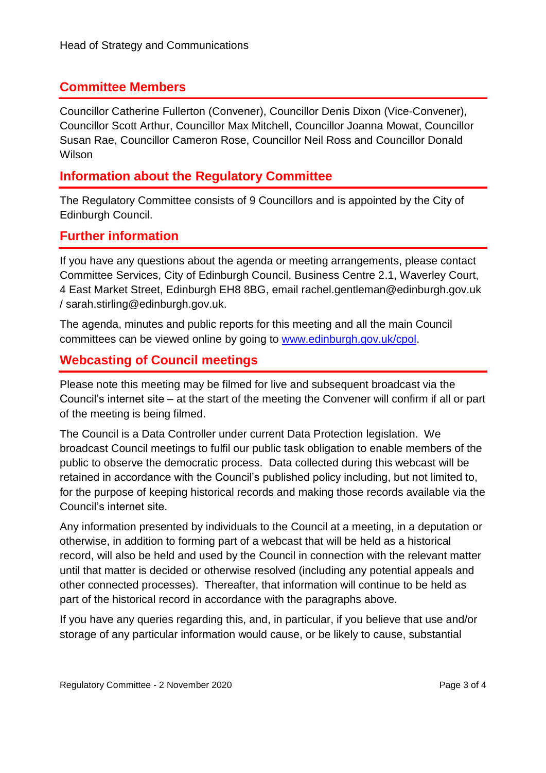# **Committee Members**

Councillor Catherine Fullerton (Convener), Councillor Denis Dixon (Vice-Convener), Councillor Scott Arthur, Councillor Max Mitchell, Councillor Joanna Mowat, Councillor Susan Rae, Councillor Cameron Rose, Councillor Neil Ross and Councillor Donald **Wilson** 

# **Information about the Regulatory Committee**

The Regulatory Committee consists of 9 Councillors and is appointed by the City of Edinburgh Council.

#### **Further information**

If you have any questions about the agenda or meeting arrangements, please contact Committee Services, City of Edinburgh Council, Business Centre 2.1, Waverley Court, 4 East Market Street, Edinburgh EH8 8BG, email rachel.gentleman@edinburgh.gov.uk / sarah.stirling@edinburgh.gov.uk.

The agenda, minutes and public reports for this meeting and all the main Council committees can be viewed online by going to [www.edinburgh.gov.uk/cpol.](http://www.edinburgh.gov.uk/cpol)

# **Webcasting of Council meetings**

Please note this meeting may be filmed for live and subsequent broadcast via the Council's internet site – at the start of the meeting the Convener will confirm if all or part of the meeting is being filmed.

The Council is a Data Controller under current Data Protection legislation. We broadcast Council meetings to fulfil our public task obligation to enable members of the public to observe the democratic process. Data collected during this webcast will be retained in accordance with the Council's published policy including, but not limited to, for the purpose of keeping historical records and making those records available via the Council's internet site.

Any information presented by individuals to the Council at a meeting, in a deputation or otherwise, in addition to forming part of a webcast that will be held as a historical record, will also be held and used by the Council in connection with the relevant matter until that matter is decided or otherwise resolved (including any potential appeals and other connected processes). Thereafter, that information will continue to be held as part of the historical record in accordance with the paragraphs above.

If you have any queries regarding this, and, in particular, if you believe that use and/or storage of any particular information would cause, or be likely to cause, substantial